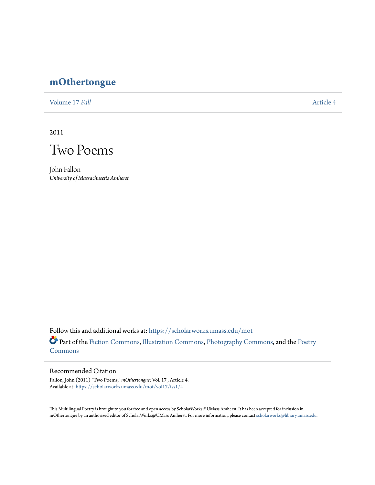## **[mOthertongue](https://scholarworks.umass.edu/mot?utm_source=scholarworks.umass.edu%2Fmot%2Fvol17%2Fiss1%2F4&utm_medium=PDF&utm_campaign=PDFCoverPages)**

[Volume 17](https://scholarworks.umass.edu/mot/vol17?utm_source=scholarworks.umass.edu%2Fmot%2Fvol17%2Fiss1%2F4&utm_medium=PDF&utm_campaign=PDFCoverPages) *Fall* [Article 4](https://scholarworks.umass.edu/mot/vol17/iss1/4?utm_source=scholarworks.umass.edu%2Fmot%2Fvol17%2Fiss1%2F4&utm_medium=PDF&utm_campaign=PDFCoverPages)

2011



John Fallon *University of Massachusetts Amherst*

Follow this and additional works at: [https://scholarworks.umass.edu/mot](https://scholarworks.umass.edu/mot?utm_source=scholarworks.umass.edu%2Fmot%2Fvol17%2Fiss1%2F4&utm_medium=PDF&utm_campaign=PDFCoverPages) Part of the [Fiction Commons](http://network.bepress.com/hgg/discipline/1151?utm_source=scholarworks.umass.edu%2Fmot%2Fvol17%2Fiss1%2F4&utm_medium=PDF&utm_campaign=PDFCoverPages), [Illustration Commons,](http://network.bepress.com/hgg/discipline/1135?utm_source=scholarworks.umass.edu%2Fmot%2Fvol17%2Fiss1%2F4&utm_medium=PDF&utm_campaign=PDFCoverPages) [Photography Commons,](http://network.bepress.com/hgg/discipline/1142?utm_source=scholarworks.umass.edu%2Fmot%2Fvol17%2Fiss1%2F4&utm_medium=PDF&utm_campaign=PDFCoverPages) and the [Poetry](http://network.bepress.com/hgg/discipline/1153?utm_source=scholarworks.umass.edu%2Fmot%2Fvol17%2Fiss1%2F4&utm_medium=PDF&utm_campaign=PDFCoverPages) [Commons](http://network.bepress.com/hgg/discipline/1153?utm_source=scholarworks.umass.edu%2Fmot%2Fvol17%2Fiss1%2F4&utm_medium=PDF&utm_campaign=PDFCoverPages)

## Recommended Citation

Fallon, John (2011) "Two Poems," *mOthertongue*: Vol. 17 , Article 4. Available at: [https://scholarworks.umass.edu/mot/vol17/iss1/4](https://scholarworks.umass.edu/mot/vol17/iss1/4?utm_source=scholarworks.umass.edu%2Fmot%2Fvol17%2Fiss1%2F4&utm_medium=PDF&utm_campaign=PDFCoverPages)

This Multilingual Poetry is brought to you for free and open access by ScholarWorks@UMass Amherst. It has been accepted for inclusion in mOthertongue by an authorized editor of ScholarWorks@UMass Amherst. For more information, please contact [scholarworks@library.umass.edu](mailto:scholarworks@library.umass.edu).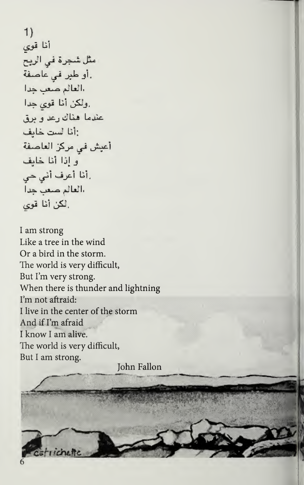1) أنا قوى مثَّل شَجِرةٌ في الريح أو طبر في عاصفة. العالم صعب جَدا ولكن أنا قوى جدا. عندما هناك رعد ويرق انا أست خايف . أعيش في مركز العاصفة ُو إِذَا أَنَا خَابِفَ رأنا أعرف أني حي.<br>العالم صعب جداً لكن أنا قوى

<sup>I</sup> am strong Like a tree in the wind Or a bird in the storm. The world is very difficult, But I'm very strong. When there is thunder and lightning I'm not aftraid: <sup>I</sup> live in the center of the storm And if I'm afraid <sup>I</sup> know <sup>I</sup> am alive. The world is very difficult, But <sup>I</sup> am strong.

John Fallon